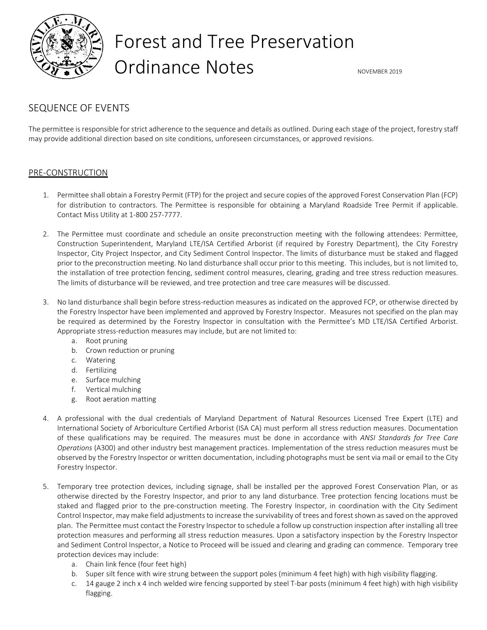

# Forest and Tree Preservation Ordinance Notes **Notes** NovEMBER 2019

## SEQUENCE OF EVENTS

The permittee is responsible for strict adherence to the sequence and details as outlined. During each stage of the project, forestry staff may provide additional direction based on site conditions, unforeseen circumstances, or approved revisions.

### PRE-CONSTRUCTION

- 1. Permittee shall obtain a Forestry Permit (FTP) for the project and secure copies of the approved Forest Conservation Plan (FCP) for distribution to contractors. The Permittee is responsible for obtaining a Maryland Roadside Tree Permit if applicable. Contact Miss Utility at 1-800 257-7777.
- 2. The Permittee must coordinate and schedule an onsite preconstruction meeting with the following attendees: Permittee, Construction Superintendent, Maryland LTE/ISA Certified Arborist (if required by Forestry Department), the City Forestry Inspector, City Project Inspector, and City Sediment Control Inspector. The limits of disturbance must be staked and flagged prior to the preconstruction meeting. No land disturbance shall occur prior to this meeting. This includes, but is not limited to, the installation of tree protection fencing, sediment control measures, clearing, grading and tree stress reduction measures. The limits of disturbance will be reviewed, and tree protection and tree care measures will be discussed.
- 3. No land disturbance shall begin before stress-reduction measures as indicated on the approved FCP, or otherwise directed by the Forestry Inspector have been implemented and approved by Forestry Inspector. Measures not specified on the plan may be required as determined by the Forestry Inspector in consultation with the Permittee's MD LTE/ISA Certified Arborist. Appropriate stress-reduction measures may include, but are not limited to:
	- a. Root pruning
	- b. Crown reduction or pruning
	- c. Watering
	- d. Fertilizing
	- e. Surface mulching
	- f. Vertical mulching
	- g. Root aeration matting
- 4. A professional with the dual credentials of Maryland Department of Natural Resources Licensed Tree Expert (LTE) and International Society of Arboriculture Certified Arborist (ISA CA) must perform all stress reduction measures. Documentation of these qualifications may be required. The measures must be done in accordance with *ANSI Standards for Tree Care Operations* (A300) and other industry best management practices. Implementation of the stress reduction measures must be observed by the Forestry Inspector or written documentation, including photographs must be sent via mail or email to the City Forestry Inspector.
- 5. Temporary tree protection devices, including signage, shall be installed per the approved Forest Conservation Plan, or as otherwise directed by the Forestry Inspector, and prior to any land disturbance. Tree protection fencing locations must be staked and flagged prior to the pre-construction meeting. The Forestry Inspector, in coordination with the City Sediment Control Inspector, may make field adjustments to increase the survivability of trees and forest shown as saved on the approved plan. The Permittee must contact the Forestry Inspector to schedule a follow up construction inspection after installing all tree protection measures and performing all stress reduction measures. Upon a satisfactory inspection by the Forestry Inspector and Sediment Control Inspector, a Notice to Proceed will be issued and clearing and grading can commence. Temporary tree protection devices may include:
	- a. Chain link fence (four feet high)
	- b. Super silt fence with wire strung between the support poles (minimum 4 feet high) with high visibility flagging.
	- c. 14 gauge 2 inch x 4 inch welded wire fencing supported by steel T-bar posts (minimum 4 feet high) with high visibility flagging.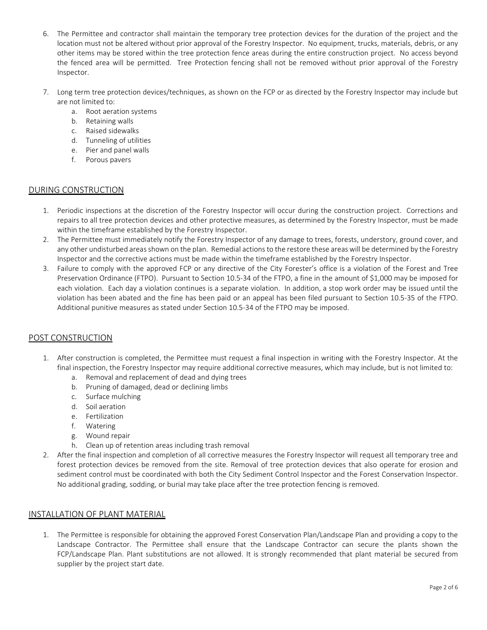- 6. The Permittee and contractor shall maintain the temporary tree protection devices for the duration of the project and the location must not be altered without prior approval of the Forestry Inspector. No equipment, trucks, materials, debris, or any other items may be stored within the tree protection fence areas during the entire construction project. No access beyond the fenced area will be permitted. Tree Protection fencing shall not be removed without prior approval of the Forestry Inspector.
- 7. Long term tree protection devices/techniques, as shown on the FCP or as directed by the Forestry Inspector may include but are not limited to:
	- a. Root aeration systems
	- b. Retaining walls
	- c. Raised sidewalks
	- d. Tunneling of utilities
	- e. Pier and panel walls
	- f. Porous pavers

### DURING CONSTRUCTION

- 1. Periodic inspections at the discretion of the Forestry Inspector will occur during the construction project. Corrections and repairs to all tree protection devices and other protective measures, as determined by the Forestry Inspector, must be made within the timeframe established by the Forestry Inspector.
- 2. The Permittee must immediately notify the Forestry Inspector of any damage to trees, forests, understory, ground cover, and any other undisturbed areas shown on the plan. Remedial actions to the restore these areas will be determined by the Forestry Inspector and the corrective actions must be made within the timeframe established by the Forestry Inspector.
- 3. Failure to comply with the approved FCP or any directive of the City Forester's office is a violation of the Forest and Tree Preservation Ordinance (FTPO). Pursuant to Section 10.5-34 of the FTPO, a fine in the amount of \$1,000 may be imposed for each violation. Each day a violation continues is a separate violation. In addition, a stop work order may be issued until the violation has been abated and the fine has been paid or an appeal has been filed pursuant to Section 10.5-35 of the FTPO. Additional punitive measures as stated under Section 10.5-34 of the FTPO may be imposed.

#### POST CONSTRUCTION

- 1. After construction is completed, the Permittee must request a final inspection in writing with the Forestry Inspector. At the final inspection, the Forestry Inspector may require additional corrective measures, which may include, but is not limited to:
	- a. Removal and replacement of dead and dying trees
	- b. Pruning of damaged, dead or declining limbs
	- c. Surface mulching
	- d. Soil aeration
	- e. Fertilization
	- f. Watering
	- g. Wound repair
	- h. Clean up of retention areas including trash removal
- 2. After the final inspection and completion of all corrective measures the Forestry Inspector will request all temporary tree and forest protection devices be removed from the site. Removal of tree protection devices that also operate for erosion and sediment control must be coordinated with both the City Sediment Control Inspector and the Forest Conservation Inspector. No additional grading, sodding, or burial may take place after the tree protection fencing is removed.

#### INSTALLATION OF PLANT MATERIAL

1. The Permittee is responsible for obtaining the approved Forest Conservation Plan/Landscape Plan and providing a copy to the Landscape Contractor. The Permittee shall ensure that the Landscape Contractor can secure the plants shown the FCP/Landscape Plan. Plant substitutions are not allowed. It is strongly recommended that plant material be secured from supplier by the project start date.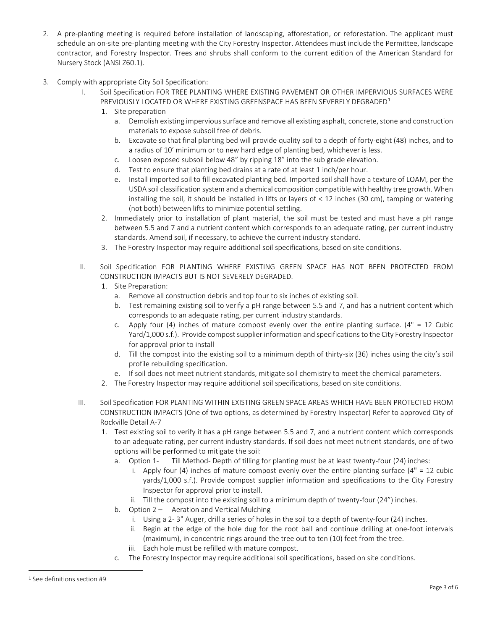- 2. A pre-planting meeting is required before installation of landscaping, afforestation, or reforestation. The applicant must schedule an on-site pre-planting meeting with the City Forestry Inspector. Attendees must include the Permittee, landscape contractor, and Forestry Inspector. Trees and shrubs shall conform to the current edition of the American Standard for Nursery Stock (ANSI Z60.1).
- 3. Comply with appropriate City Soil Specification:
	- I. Soil Specification FOR TREE PLANTING WHERE EXISTING PAVEMENT OR OTHER IMPERVIOUS SURFACES WERE PREVIOUSLY LOCATED OR WHERE EXISTING GREENSPACE HAS BEEN SEVERELY DEGRADED<sup>[1](#page-2-0)</sup>
		- 1. Site preparation
			- a. Demolish existing impervious surface and remove all existing asphalt, concrete, stone and construction materials to expose subsoil free of debris.
			- b. Excavate so that final planting bed will provide quality soil to a depth of forty-eight (48) inches, and to a radius of 10' minimum or to new hard edge of planting bed, whichever is less.
			- c. Loosen exposed subsoil below 48" by ripping 18" into the sub grade elevation.
			- d. Test to ensure that planting bed drains at a rate of at least 1 inch/per hour.
			- e. Install imported soil to fill excavated planting bed. Imported soil shall have a texture of LOAM, per the USDA soil classification system and a chemical composition compatible with healthy tree growth. When installing the soil, it should be installed in lifts or layers of < 12 inches (30 cm), tamping or watering (not both) between lifts to minimize potential settling.
		- 2. Immediately prior to installation of plant material, the soil must be tested and must have a pH range between 5.5 and 7 and a nutrient content which corresponds to an adequate rating, per current industry standards. Amend soil, if necessary, to achieve the current industry standard.
		- 3. The Forestry Inspector may require additional soil specifications, based on site conditions.
	- II. Soil Specification FOR PLANTING WHERE EXISTING GREEN SPACE HAS NOT BEEN PROTECTED FROM CONSTRUCTION IMPACTS BUT IS NOT SEVERELY DEGRADED.
		- 1. Site Preparation:
			- a. Remove all construction debris and top four to six inches of existing soil.
			- b. Test remaining existing soil to verify a pH range between 5.5 and 7, and has a nutrient content which corresponds to an adequate rating, per current industry standards.
			- c. Apply four (4) inches of mature compost evenly over the entire planting surface. ( $4" = 12$  Cubic Yard/1,000 s.f.). Provide compost supplier information and specifications to the City Forestry Inspector for approval prior to install
			- d. Till the compost into the existing soil to a minimum depth of thirty-six (36) inches using the city's soil profile rebuilding specification.
			- If soil does not meet nutrient standards, mitigate soil chemistry to meet the chemical parameters.
		- 2. The Forestry Inspector may require additional soil specifications, based on site conditions.
	- III. Soil Specification FOR PLANTING WITHIN EXISTING GREEN SPACE AREAS WHICH HAVE BEEN PROTECTED FROM CONSTRUCTION IMPACTS (One of two options, as determined by Forestry Inspector) Refer to approved City of Rockville Detail A-7
		- 1. Test existing soil to verify it has a pH range between 5.5 and 7, and a nutrient content which corresponds to an adequate rating, per current industry standards. If soil does not meet nutrient standards, one of two options will be performed to mitigate the soil:
			- a. Option 1- Till Method- Depth of tilling for planting must be at least twenty-four (24) inches:
				- i. Apply four (4) inches of mature compost evenly over the entire planting surface ( $4" = 12$  cubic yards/1,000 s.f.). Provide compost supplier information and specifications to the City Forestry Inspector for approval prior to install.
				- ii. Till the compost into the existing soil to a minimum depth of twenty-four (24") inches.
			- b. Option 2 Aeration and Vertical Mulching
				- i. Using a 2- 3" Auger, drill a series of holes in the soil to a depth of twenty-four (24) inches.
				- ii. Begin at the edge of the hole dug for the root ball and continue drilling at one-foot intervals (maximum), in concentric rings around the tree out to ten (10) feet from the tree.
				- iii. Each hole must be refilled with mature compost.
			- c. The Forestry Inspector may require additional soil specifications, based on site conditions.

 $\overline{a}$ 

<span id="page-2-0"></span><sup>1</sup> See definitions section #9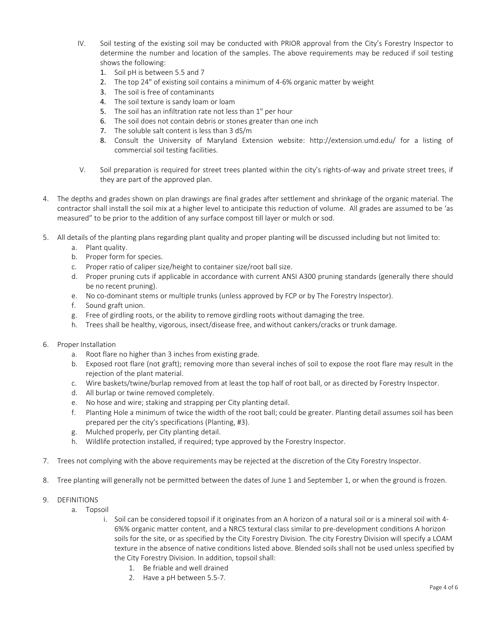- IV. Soil testing of the existing soil may be conducted with PRIOR approval from the City's Forestry Inspector to determine the number and location of the samples. The above requirements may be reduced if soil testing shows the following:
	- 1. Soil pH is between 5.5 and 7
	- 2. The top 24" of existing soil contains a minimum of 4-6% organic matter by weight
	- 3. The soil is free of contaminants
	- 4. The soil texture is sandy loam or loam
	- 5. The soil has an infiltration rate not less than 1" per hour
	- 6. The soil does not contain debris or stones greater than one inch
	- 7. The soluble salt content is less than 3 dS/m
	- 8. Consult the University of Maryland Extension website: <http://extension.umd.edu/> for a listing of commercial soil testing facilities.
- V. Soil preparation is required for street trees planted within the city's rights-of-way and private street trees, if they are part of the approved plan.
- 4. The depths and grades shown on plan drawings are final grades after settlement and shrinkage of the organic material. The contractor shall install the soil mix at a higher level to anticipate this reduction of volume. All grades are assumed to be 'as measured" to be prior to the addition of any surface compost till layer or mulch or sod.
- 5. All details of the planting plans regarding plant quality and proper planting will be discussed including but not limited to:
	- a. Plant quality.
	- b. Proper form for species.
	- c. Proper ratio of caliper size/height to container size/root ball size.
	- d. Proper pruning cuts if applicable in accordance with current ANSI A300 pruning standards (generally there should be no recent pruning).
	- e. No co-dominant stems or multiple trunks (unless approved by FCP or by The Forestry Inspector).
	- f. Sound graft union.
	- g. Free of girdling roots, or the ability to remove girdling roots without damaging the tree.
	- h. Trees shall be healthy, vigorous, insect/disease free, andwithout cankers/cracks or trunk damage.
- 6. Proper Installation
	- a. Root flare no higher than 3 inches from existing grade.
	- b. Exposed root flare (not graft); removing more than several inches of soil to expose the root flare may result in the rejection of the plant material.
	- c. Wire baskets/twine/burlap removed from at least the top half of root ball, or as directed by Forestry Inspector.
	- d. All burlap or twine removed completely.
	- e. No hose and wire; staking and strapping per City planting detail.
	- f. Planting Hole a minimum of twice the width of the root ball; could be greater. Planting detail assumes soil has been prepared per the city's specifications (Planting, #3).
	- g. Mulched properly, per City planting detail.
	- h. Wildlife protection installed, if required; type approved by the Forestry Inspector.
- 7. Trees not complying with the above requirements may be rejected at the discretion of the City Forestry Inspector.
- 8. Tree planting will generally not be permitted between the dates of June 1 and September 1, or when the ground is frozen.
- 9. DEFINITIONS
	- a. Topsoil
		- i. Soil can be considered topsoil if it originates from an A horizon of a natural soil or is a mineral soil with 4- 6%% organic matter content, and a NRCS textural class similar to pre-development conditions A horizon soils for the site, or as specified by the City Forestry Division. The city Forestry Division will specify a LOAM texture in the absence of native conditions listed above. Blended soils shall not be used unless specified by the City Forestry Division. In addition, topsoil shall:
			- 1. Be friable and well drained
			- 2. Have a pH between 5.5-7.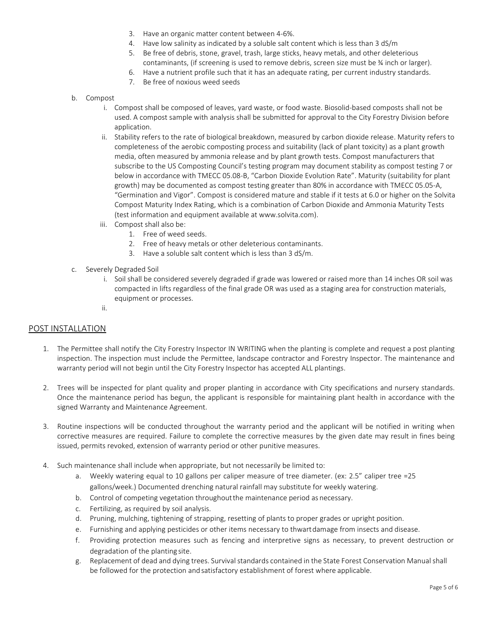- 3. Have an organic matter content between 4-6%.
- 4. Have low salinity as indicated by a soluble salt content which is less than 3 dS/m
- 5. Be free of debris, stone, gravel, trash, large sticks, heavy metals, and other deleterious contaminants, (if screening is used to remove debris, screen size must be ¾ inch or larger).
- 6. Have a nutrient profile such that it has an adequate rating, per current industry standards.
- 7. Be free of noxious weed seeds
- b. Compost
	- i. Compost shall be composed of leaves, yard waste, or food waste. Biosolid-based composts shall not be used. A compost sample with analysis shall be submitted for approval to the City Forestry Division before application.
	- ii. Stability refers to the rate of biological breakdown, measured by carbon dioxide release. Maturity refers to completeness of the aerobic composting process and suitability (lack of plant toxicity) as a plant growth media, often measured by ammonia release and by plant growth tests. Compost manufacturers that subscribe to the US Composting Council's testing program may document stability as compost testing 7 or below in accordance with TMECC 05.08-B, "Carbon Dioxide Evolution Rate". Maturity (suitability for plant growth) may be documented as compost testing greater than 80% in accordance with TMECC 05.05-A, "Germination and Vigor". Compost is considered mature and stable if it tests at 6.0 or higher on the Solvita Compost Maturity Index Rating, which is a combination of Carbon Dioxide and Ammonia Maturity Tests (test information and equipment available at [www.solvita.com\)](http://www.solvita.com/).
	- iii. Compost shall also be:
		- 1. Free of weed seeds.
		- 2. Free of heavy metals or other deleterious contaminants.
		- 3. Have a soluble salt content which is less than 3 dS/m.
- c. Severely Degraded Soil
	- i. Soil shall be considered severely degraded if grade was lowered or raised more than 14 inches OR soil was compacted in lifts regardless of the final grade OR was used as a staging area for construction materials, equipment or processes.
	- ii.

#### POST INSTALLATION

- 1. The Permittee shall notify the City Forestry Inspector IN WRITING when the planting is complete and request a post planting inspection. The inspection must include the Permittee, landscape contractor and Forestry Inspector. The maintenance and warranty period will not begin until the City Forestry Inspector has accepted ALL plantings.
- 2. Trees will be inspected for plant quality and proper planting in accordance with City specifications and nursery standards. Once the maintenance period has begun, the applicant is responsible for maintaining plant health in accordance with the signed Warranty and Maintenance Agreement.
- 3. Routine inspections will be conducted throughout the warranty period and the applicant will be notified in writing when corrective measures are required. Failure to complete the corrective measures by the given date may result in fines being issued, permits revoked, extension of warranty period or other punitive measures.
- 4. Such maintenance shall include when appropriate, but not necessarily be limited to:
	- a. Weekly watering equal to 10 gallons per caliper measure of tree diameter. (ex: 2.5" caliper tree =25 gallons/week.) Documented drenching natural rainfall may substitute for weekly watering.
	- b. Control of competing vegetation throughoutthe maintenance period as necessary.
	- c. Fertilizing, as required by soil analysis.
	- d. Pruning, mulching, tightening of strapping, resetting of plants to proper grades or upright position.
	- e. Furnishing and applying pesticides or other items necessary to thwartdamage from insects and disease.
	- f. Providing protection measures such as fencing and interpretive signs as necessary, to prevent destruction or degradation of the planting site.
	- g. Replacement of dead and dying trees. Survival standards contained in the State Forest Conservation Manual shall be followed for the protection and satisfactory establishment of forest where applicable.